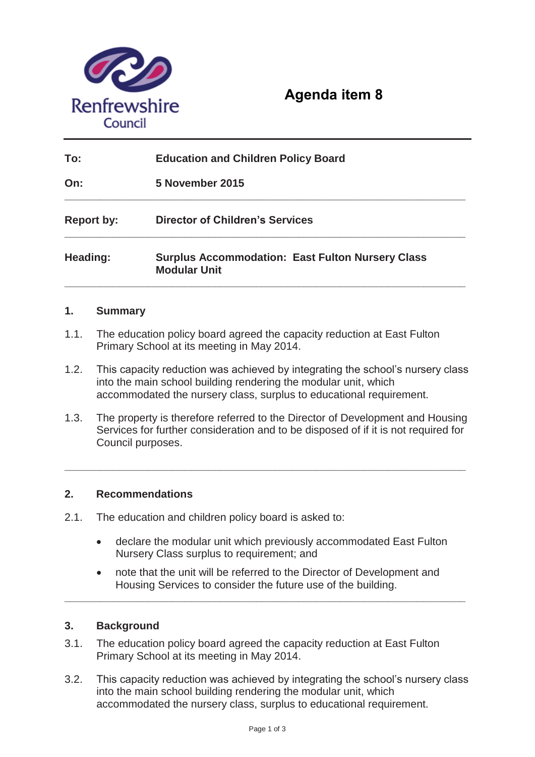

# **Agenda item 8**

| To:               | <b>Education and Children Policy Board</b>                                     |
|-------------------|--------------------------------------------------------------------------------|
| On:               | 5 November 2015                                                                |
| <b>Report by:</b> | <b>Director of Children's Services</b>                                         |
| Heading:          | <b>Surplus Accommodation: East Fulton Nursery Class</b><br><b>Modular Unit</b> |

## **1. Summary**

- 1.1. The education policy board agreed the capacity reduction at East Fulton Primary School at its meeting in May 2014.
- 1.2. This capacity reduction was achieved by integrating the school's nursery class into the main school building rendering the modular unit, which accommodated the nursery class, surplus to educational requirement.
- 1.3. The property is therefore referred to the Director of Development and Housing Services for further consideration and to be disposed of if it is not required for Council purposes.

**\_\_\_\_\_\_\_\_\_\_\_\_\_\_\_\_\_\_\_\_\_\_\_\_\_\_\_\_\_\_\_\_\_\_\_\_\_\_\_\_\_\_\_\_\_\_\_\_\_\_\_\_\_\_\_\_\_\_\_\_\_\_\_\_\_\_\_** 

## **2. Recommendations**

- 2.1. The education and children policy board is asked to:
	- declare the modular unit which previously accommodated East Fulton Nursery Class surplus to requirement; and
	- note that the unit will be referred to the Director of Development and Housing Services to consider the future use of the building.

**\_\_\_\_\_\_\_\_\_\_\_\_\_\_\_\_\_\_\_\_\_\_\_\_\_\_\_\_\_\_\_\_\_\_\_\_\_\_\_\_\_\_\_\_\_\_\_\_\_\_\_\_\_\_\_\_\_\_\_\_\_\_\_\_\_\_\_** 

### **3. Background**

- 3.1. The education policy board agreed the capacity reduction at East Fulton Primary School at its meeting in May 2014.
- 3.2. This capacity reduction was achieved by integrating the school's nursery class into the main school building rendering the modular unit, which accommodated the nursery class, surplus to educational requirement.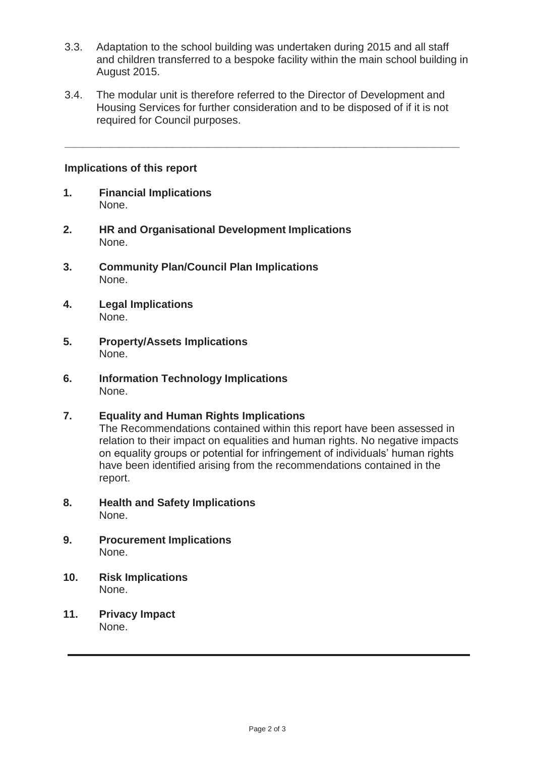- 3.3. Adaptation to the school building was undertaken during 2015 and all staff and children transferred to a bespoke facility within the main school building in August 2015.
- 3.4. The modular unit is therefore referred to the Director of Development and Housing Services for further consideration and to be disposed of if it is not required for Council purposes.

**\_\_\_\_\_\_\_\_\_\_\_\_\_\_\_\_\_\_\_\_\_\_\_\_\_\_\_\_\_\_\_\_\_\_\_\_\_\_\_\_\_\_\_\_\_\_\_\_\_\_\_\_\_\_\_\_\_\_\_\_\_\_\_\_\_\_** 

#### **Implications of this report**

- **1. Financial Implications** None.
- **2. HR and Organisational Development Implications**  None.
- **3. Community Plan/Council Plan Implications**  None.
- **4. Legal Implications**  None.
- **5. Property/Assets Implications**  None.
- **6. Information Technology Implications**  None.
- **7. Equality and Human Rights Implications**  The Recommendations contained within this report have been assessed in relation to their impact on equalities and human rights. No negative impacts on equality groups or potential for infringement of individuals' human rights have been identified arising from the recommendations contained in the report.
- **8. Health and Safety Implications**  None.
- **9. Procurement Implications**  None.
- **10. Risk Implications**  None.
- **11. Privacy Impact**  None.